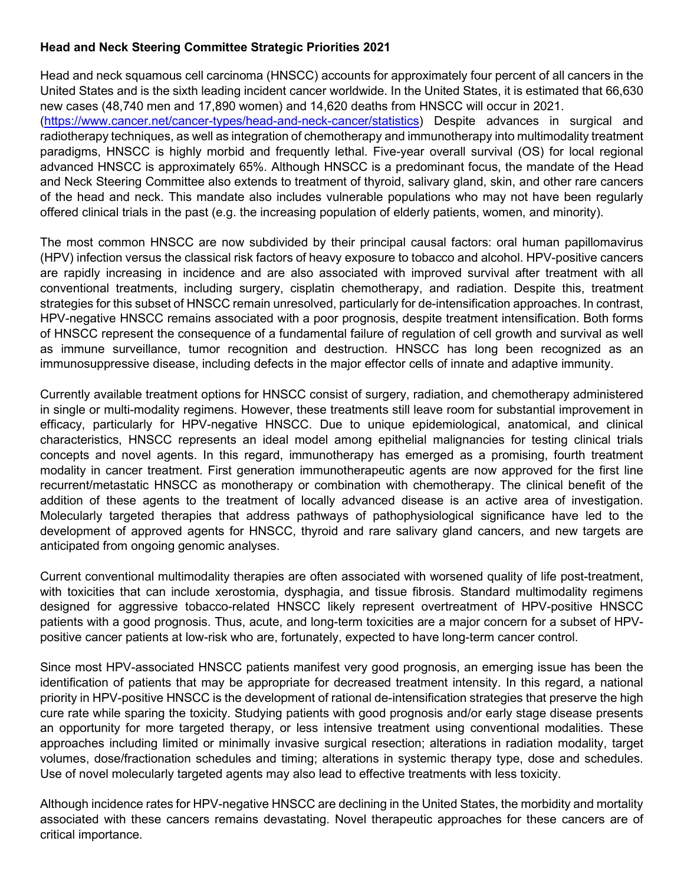## **Head and Neck Steering Committee Strategic Priorities 2021**

Head and neck squamous cell carcinoma (HNSCC) accounts for approximately four percent of all cancers in the United States and is the sixth leading incident cancer worldwide. In the United States, it is estimated that 66,630 new cases (48,740 men and 17,890 women) and 14,620 deaths from HNSCC will occur in 2021. [\(https://www.cancer.net/cancer-types/head-and-neck-cancer/statistics\)](https://www.cancer.net/cancer-types/head-and-neck-cancer/statistics) Despite advances in surgical and radiotherapy techniques, as well as integration of chemotherapy and immunotherapy into multimodality treatment paradigms, HNSCC is highly morbid and frequently lethal. Five-year overall survival (OS) for local regional advanced HNSCC is approximately 65%. Although HNSCC is a predominant focus, the mandate of the Head and Neck Steering Committee also extends to treatment of thyroid, salivary gland, skin, and other rare cancers of the head and neck. This mandate also includes vulnerable populations who may not have been regularly offered clinical trials in the past (e.g. the increasing population of elderly patients, women, and minority).

The most common HNSCC are now subdivided by their principal causal factors: oral human papillomavirus (HPV) infection versus the classical risk factors of heavy exposure to tobacco and alcohol. HPV-positive cancers are rapidly increasing in incidence and are also associated with improved survival after treatment with all conventional treatments, including surgery, cisplatin chemotherapy, and radiation. Despite this, treatment strategies for this subset of HNSCC remain unresolved, particularly for de-intensification approaches. In contrast, HPV-negative HNSCC remains associated with a poor prognosis, despite treatment intensification. Both forms of HNSCC represent the consequence of a fundamental failure of regulation of cell growth and survival as well as immune surveillance, tumor recognition and destruction. HNSCC has long been recognized as an immunosuppressive disease, including defects in the major effector cells of innate and adaptive immunity.

Currently available treatment options for HNSCC consist of surgery, radiation, and chemotherapy administered in single or multi-modality regimens. However, these treatments still leave room for substantial improvement in efficacy, particularly for HPV-negative HNSCC. Due to unique epidemiological, anatomical, and clinical characteristics, HNSCC represents an ideal model among epithelial malignancies for testing clinical trials concepts and novel agents. In this regard, immunotherapy has emerged as a promising, fourth treatment modality in cancer treatment. First generation immunotherapeutic agents are now approved for the first line recurrent/metastatic HNSCC as monotherapy or combination with chemotherapy. The clinical benefit of the addition of these agents to the treatment of locally advanced disease is an active area of investigation. Molecularly targeted therapies that address pathways of pathophysiological significance have led to the development of approved agents for HNSCC, thyroid and rare salivary gland cancers, and new targets are anticipated from ongoing genomic analyses.

Current conventional multimodality therapies are often associated with worsened quality of life post-treatment, with toxicities that can include xerostomia, dysphagia, and tissue fibrosis. Standard multimodality regimens designed for aggressive tobacco-related HNSCC likely represent overtreatment of HPV-positive HNSCC patients with a good prognosis. Thus, acute, and long-term toxicities are a major concern for a subset of HPVpositive cancer patients at low-risk who are, fortunately, expected to have long-term cancer control.

Since most HPV-associated HNSCC patients manifest very good prognosis, an emerging issue has been the identification of patients that may be appropriate for decreased treatment intensity. In this regard, a national priority in HPV-positive HNSCC is the development of rational de-intensification strategies that preserve the high cure rate while sparing the toxicity. Studying patients with good prognosis and/or early stage disease presents an opportunity for more targeted therapy, or less intensive treatment using conventional modalities. These approaches including limited or minimally invasive surgical resection; alterations in radiation modality, target volumes, dose/fractionation schedules and timing; alterations in systemic therapy type, dose and schedules. Use of novel molecularly targeted agents may also lead to effective treatments with less toxicity.

Although incidence rates for HPV-negative HNSCC are declining in the United States, the morbidity and mortality associated with these cancers remains devastating. Novel therapeutic approaches for these cancers are of critical importance.